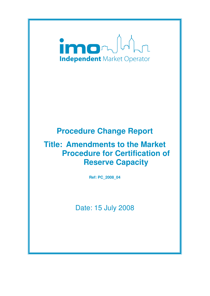

# **Procedure Change Report**

# **Title: Amendments to the Market Procedure for Certification of Reserve Capacity**

**Ref: PC\_2008\_04** 

Date: 15 July 2008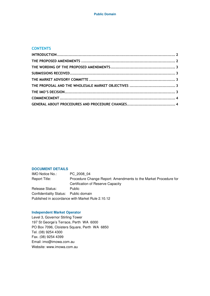#### **CONTENTS**

#### **DOCUMENT DETAILS**

IMO Notice No.: PC\_2008\_04 Report Title: Procedure Change Report: Amendments to the Market Procedure for Certification of Reserve Capacity Release Status: Public Confidentiality Status: Public domain Published in accordance with Market Rule 2.10.12

#### **Independent Market Operator**

Level 3, Governor Stirling Tower 197 St George's Terrace, Perth WA 6000 PO Box 7096, Cloisters Square, Perth WA 6850 Tel. (08) 9254 4300 Fax. (08) 9254 4399 Email: imo@imowa.com.au Website: www.imowa.com.au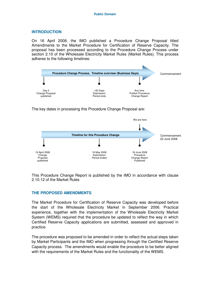## **INTRODUCTION**

On 16 April 2008, the IMO published a Procedure Change Proposal titled Amendments to the Market Procedure for Certification of Reserve Capacity. The proposal has been processed according to the Procedure Change Process under section 2.10 of the Wholesale Electricity Market Rules (Market Rules). This process adheres to the following timelines:



The key dates in processing this Procedure Change Proposal are:



This Procedure Change Report is published by the IMO in accordance with clause 2.10.12 of the Market Rules

## **THE PROPOSED AMENDMENTS**

The Market Procedure for Certification of Reserve Capacity was developed before the start of the Wholesale Electricity Market in September 2006. Practical experience, together with the implementation of the Wholesale Electricity Market System (WEMS) required that the procedure be updated to reflect the way in which Certified Reserve Capacity applications are submitted, assessed and approved in practice.

The procedure was proposed to be amended in order to reflect the actual steps taken by Market Participants and the IMO when progressing through the Certified Reserve Capacity process. The amendments would enable the procedure to be better aligned with the requirements of the Market Rules and the functionality of the WEMS.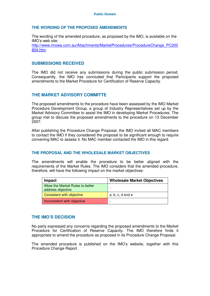#### **THE WORDING OF THE PROPOSED AMENDMENTS**

The wording of the amended procedure, as proposed by the IMO, is available on the IMO's web site:

http://www.imowa.com.au/Attachments/MarketProcedures/ProcedureChange\_PC200 804.htm.

### **SUBMISSIONS RECEIVED**

The IMO did not receive any submissions during the public submission period. Consequently, the IMO has concluded that Participants support the proposed amendments to the Market Procedure for Certification of Reserve Capacity.

## **THE MARKET ADVISORY COMMITTE**

The proposed amendments to the procedure have been assessed by the IMO Market Procedure Development Group, a group of Industry Representatives set up by the Market Advisory Committee to assist the IMO in developing Market Procedures. The group met to discuss the proposed amendments to the procedure on 13 December 2007.

After publishing the Procedure Change Proposal, the IMO invited all MAC members to contact the IMO if they considered the proposal to be significant enough to require convening MAC to assess it. No MAC member contacted the IMO in this regard.

### **THE PROPOSAL AND THE WHOLESALE MARKET OBJECTIVES**

The amendments will enable the procedure to be better aligned with the requirements of the Market Rules. The IMO considers that the amended procedure, therefore, will have the following impact on the market objectives:

| Impact                                                | <b>Wholesale Market Objectives</b> |
|-------------------------------------------------------|------------------------------------|
| Allow the Market Rules to better<br>address objective | $\overline{\phantom{0}}$           |
| Consistent with objective                             | $a, b, c, d$ and $e$               |
| Inconsistent with objective                           | $\overline{\phantom{0}}$           |

## **THE IMO'S DECISION**

No party expressed any concerns regarding the proposed amendments to the Market Procedure for Certification of Reserve Capacity. The IMO therefore finds it appropriate to amend the procedure as proposed in its Procedure Change Proposal.

The amended procedure is published on the IMO's website, together with this Procedure Change Report.